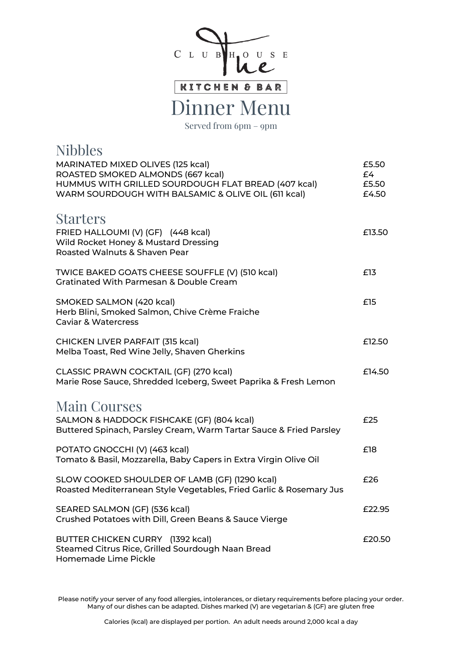

Dinner Menu

Served from 6pm – 9pm

| <b>Nibbles</b>                                                                                                                 |                      |
|--------------------------------------------------------------------------------------------------------------------------------|----------------------|
| MARINATED MIXED OLIVES (125 kcal)<br>ROASTED SMOKED ALMONDS (667 kcal)<br>HUMMUS WITH GRILLED SOURDOUGH FLAT BREAD (407 kcal)  | £5.50<br>£4<br>£5.50 |
| WARM SOURDOUGH WITH BALSAMIC & OLIVE OIL (611 kcal)                                                                            | £4.50                |
| <b>Starters</b><br>FRIED HALLOUMI (V) (GF) (448 kcal)<br>Wild Rocket Honey & Mustard Dressing<br>Roasted Walnuts & Shaven Pear | £13.50               |
| TWICE BAKED GOATS CHEESE SOUFFLE (V) (510 kcal)<br><b>Gratinated With Parmesan &amp; Double Cream</b>                          | £13                  |
| SMOKED SALMON (420 kcal)<br>Herb Blini, Smoked Salmon, Chive Crème Fraiche<br><b>Caviar &amp; Watercress</b>                   | £15                  |
| CHICKEN LIVER PARFAIT (315 kcal)<br>Melba Toast, Red Wine Jelly, Shaven Gherkins                                               | £12.50               |
| CLASSIC PRAWN COCKTAIL (GF) (270 kcal)<br>Marie Rose Sauce, Shredded Iceberg, Sweet Paprika & Fresh Lemon                      | £14.50               |
| <b>Main Courses</b>                                                                                                            |                      |
| SALMON & HADDOCK FISHCAKE (GF) (804 kcal)<br>Buttered Spinach, Parsley Cream, Warm Tartar Sauce & Fried Parsley                | £25                  |
| POTATO GNOCCHI (V) (463 kcal)<br>Tomato & Basil, Mozzarella, Baby Capers in Extra Virgin Olive Oil                             | £18                  |
| SLOW COOKED SHOULDER OF LAMB (GF) (1290 kcal)<br>Roasted Mediterranean Style Vegetables, Fried Garlic & Rosemary Jus           | £26                  |
| SEARED SALMON (GF) (536 kcal)<br>Crushed Potatoes with Dill, Green Beans & Sauce Vierge                                        | £22.95               |
| BUTTER CHICKEN CURRY (1392 kcal)<br>Steamed Citrus Rice, Grilled Sourdough Naan Bread<br>Homemade Lime Pickle                  | £20.50               |

Please notify your server of any food allergies, intolerances, or dietary requirements before placing your order. Many of our dishes can be adapted. Dishes marked (V) are vegetarian & (GF) are gluten free